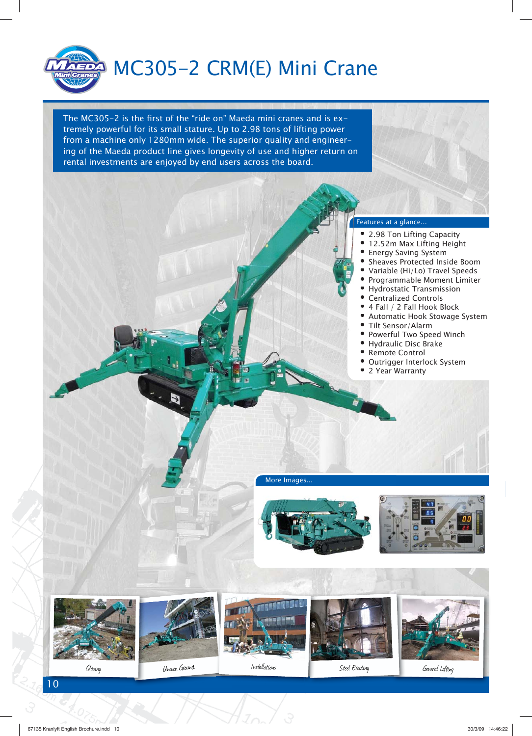

The MC305-2 is the first of the "ride on" Maeda mini cranes and is extremely powerful for its small stature. Up to 2.98 tons of lifting power from a machine only 1280mm wide. The superior quality and engineering of the Maeda product line gives longevity of use and higher return on rental investments are enjoyed by end users across the board.



- 2.98 Ton Lifting Capacity
- 12.52m Max Lifting Height 12.52m
- Energy Saving System
- Sheaves Protected Inside Boom Sheaves
- Variable (Hi/Lo) Travel Speeds Variable
- Programmable Moment Limiter Program
- Hydrostatic Transmission Hydrost
- Centralized Controls Centrali
- 4 Fall / 2 Fall Hook Block
- Automatic Hook Stowage System Automa
- Tilt Sensor/Alarm
- Powerful Two Speed Winch Powerfu
- Hydraulic Disc Brake Hydraul
- Remote Control •
- Outrigger Interlock System Outrigg
- 2 Year Warranty

More Images...







10